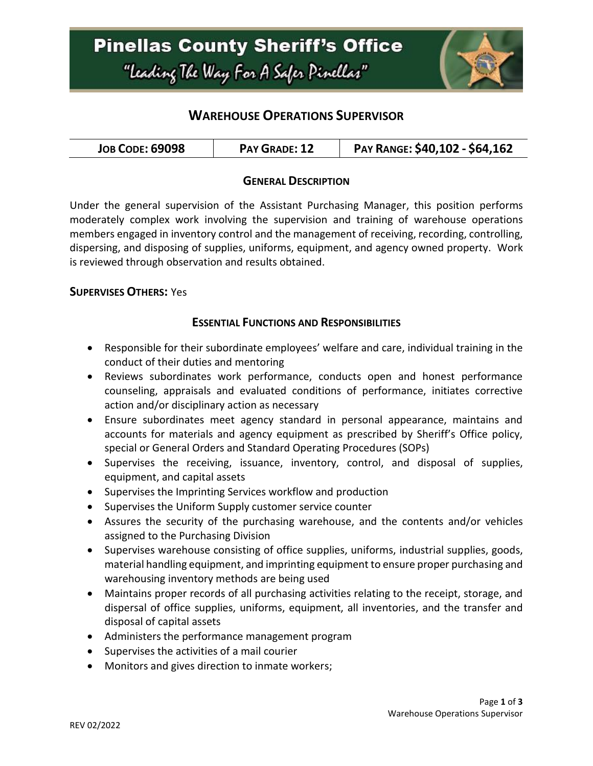

# **WAREHOUSE OPERATIONS SUPERVISOR**

| <b>JOB CODE: 69098</b><br>PAY GRADE: 12 | PAY RANGE: \$40,102 - \$64,162 |
|-----------------------------------------|--------------------------------|
|-----------------------------------------|--------------------------------|

### **GENERAL DESCRIPTION**

Under the general supervision of the Assistant Purchasing Manager, this position performs moderately complex work involving the supervision and training of warehouse operations members engaged in inventory control and the management of receiving, recording, controlling, dispersing, and disposing of supplies, uniforms, equipment, and agency owned property. Work is reviewed through observation and results obtained.

#### **SUPERVISES OTHERS:** Yes

#### **ESSENTIAL FUNCTIONS AND RESPONSIBILITIES**

- Responsible for their subordinate employees' welfare and care, individual training in the conduct of their duties and mentoring
- Reviews subordinates work performance, conducts open and honest performance counseling, appraisals and evaluated conditions of performance, initiates corrective action and/or disciplinary action as necessary
- Ensure subordinates meet agency standard in personal appearance, maintains and accounts for materials and agency equipment as prescribed by Sheriff's Office policy, special or General Orders and Standard Operating Procedures (SOPs)
- Supervises the receiving, issuance, inventory, control, and disposal of supplies, equipment, and capital assets
- Supervises the Imprinting Services workflow and production
- Supervises the Uniform Supply customer service counter
- Assures the security of the purchasing warehouse, and the contents and/or vehicles assigned to the Purchasing Division
- Supervises warehouse consisting of office supplies, uniforms, industrial supplies, goods, material handling equipment, and imprinting equipment to ensure proper purchasing and warehousing inventory methods are being used
- Maintains proper records of all purchasing activities relating to the receipt, storage, and dispersal of office supplies, uniforms, equipment, all inventories, and the transfer and disposal of capital assets
- Administers the performance management program
- Supervises the activities of a mail courier
- Monitors and gives direction to inmate workers;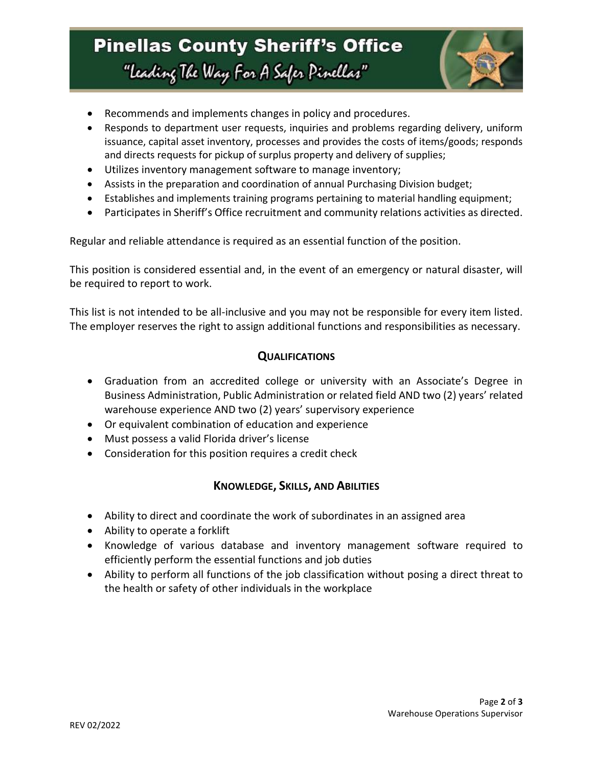# **Pinellas County Sheriff's Office** "Leading The Way For A Safer Pinellas"



- Recommends and implements changes in policy and procedures.
- Responds to department user requests, inquiries and problems regarding delivery, uniform issuance, capital asset inventory, processes and provides the costs of items/goods; responds and directs requests for pickup of surplus property and delivery of supplies;
- Utilizes inventory management software to manage inventory;
- Assists in the preparation and coordination of annual Purchasing Division budget;
- Establishes and implements training programs pertaining to material handling equipment;
- Participates in Sheriff's Office recruitment and community relations activities as directed.

Regular and reliable attendance is required as an essential function of the position.

This position is considered essential and, in the event of an emergency or natural disaster, will be required to report to work.

This list is not intended to be all-inclusive and you may not be responsible for every item listed. The employer reserves the right to assign additional functions and responsibilities as necessary.

### **QUALIFICATIONS**

- Graduation from an accredited college or university with an Associate's Degree in Business Administration, Public Administration or related field AND two (2) years' related warehouse experience AND two (2) years' supervisory experience
- Or equivalent combination of education and experience
- Must possess a valid Florida driver's license
- Consideration for this position requires a credit check

### **KNOWLEDGE, SKILLS, AND ABILITIES**

- Ability to direct and coordinate the work of subordinates in an assigned area
- Ability to operate a forklift
- Knowledge of various database and inventory management software required to efficiently perform the essential functions and job duties
- Ability to perform all functions of the job classification without posing a direct threat to the health or safety of other individuals in the workplace